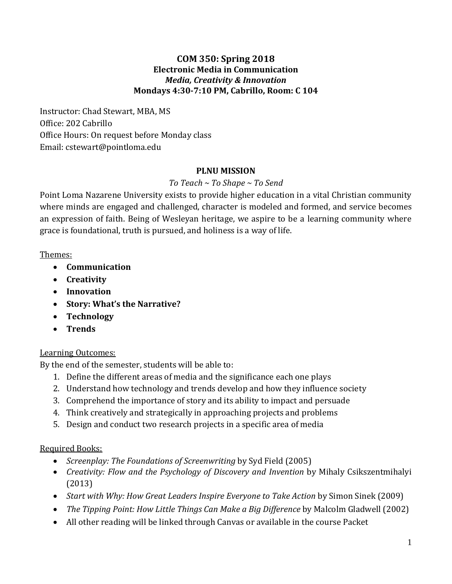#### **COM 350: Spring 2018 Electronic Media in Communication** *Media, Creativity & Innovation* **Mondays 4:30-7:10 PM, Cabrillo, Room: C 104**

Instructor: Chad Stewart, MBA, MS Office: 202 Cabrillo Office Hours: On request before Monday class Email: cstewart[@pointloma.edu](http://pointloma.edu/)

#### **PLNU MISSION**

### *To Teach ~ To Shape ~ To Send*

Point Loma Nazarene University exists to provide higher education in a vital Christian community where minds are engaged and challenged, character is modeled and formed, and service becomes an expression of faith. Being of Wesleyan heritage, we aspire to be a learning community where grace is foundational, truth is pursued, and holiness is a way of life.

#### Themes:

- **Communication**
- **Creativity**
- **Innovation**
- **Story: What's the Narrative?**
- **Technology**
- **Trends**

#### Learning Outcomes:

By the end of the semester, students will be able to:

- 1. Define the different areas of media and the significance each one plays
- 2. Understand how technology and trends develop and how they influence society
- 3. Comprehend the importance of story and its ability to impact and persuade
- 4. Think creatively and strategically in approaching projects and problems
- 5. Design and conduct two research projects in a specific area of media

#### Required Books:

- *Screenplay: The Foundations of Screenwriting* by Syd Field (2005)
- *Creativity: Flow and the Psychology of Discovery and Invention* by Mihaly Csikszentmihalyi (2013)
- *Start with Why: How Great Leaders Inspire Everyone to Take Action* by Simon Sinek (2009)
- *The Tipping Point: How Little Things Can Make a Big Difference* by Malcolm Gladwell (2002)
- All other reading will be linked through Canvas or available in the course Packet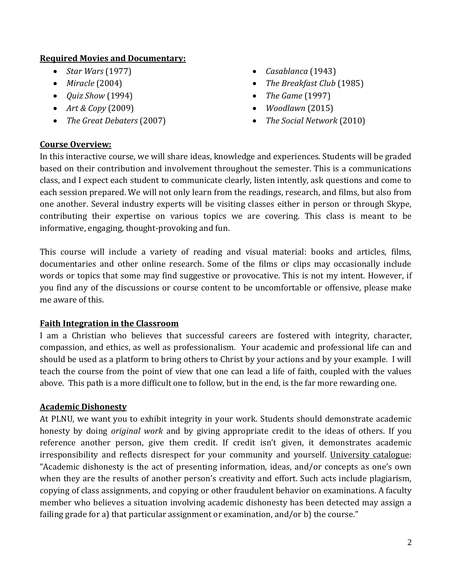#### **Required Movies and Documentary:**

- *Star Wars* (1977)
- *Miracle* (2004)
- *Quiz Show* (1994)
- *Art & Copy* (2009)
- *The Great Debaters* (2007)
- *Casablanca* (1943)
- *The Breakfast Club* (1985)
- *The Game* (1997)
- *Woodlawn* (2015)
- *The Social Network* (2010)

#### **Course Overview:**

In this interactive course, we will share ideas, knowledge and experiences. Students will be graded based on their contribution and involvement throughout the semester. This is a communications class, and I expect each student to communicate clearly, listen intently, ask questions and come to each session prepared. We will not only learn from the readings, research, and films, but also from one another. Several industry experts will be visiting classes either in person or through Skype, contributing their expertise on various topics we are covering. This class is meant to be informative, engaging, thought-provoking and fun.

This course will include a variety of reading and visual material: books and articles, films, documentaries and other online research. Some of the films or clips may occasionally include words or topics that some may find suggestive or provocative. This is not my intent. However, if you find any of the discussions or course content to be uncomfortable or offensive, please make me aware of this.

#### **Faith Integration in the Classroom**

I am a Christian who believes that successful careers are fostered with integrity, character, compassion, and ethics, as well as professionalism. Your academic and professional life can and should be used as a platform to bring others to Christ by your actions and by your example. I will teach the course from the point of view that one can lead a life of faith, coupled with the values above. This path is a more difficult one to follow, but in the end, is the far more rewarding one.

#### **Academic Dishonesty**

At PLNU, we want you to exhibit integrity in your work. Students should demonstrate academic honesty by doing *original work* and by giving appropriate credit to the ideas of others. If you reference another person, give them credit. If credit isn't given, it demonstrates academic irresponsibility and reflects disrespect for your community and yourself. University catalogue: "Academic dishonesty is the act of presenting information, ideas, and/or concepts as one's own when they are the results of another person's creativity and effort. Such acts include plagiarism, copying of class assignments, and copying or other fraudulent behavior on examinations. A faculty member who believes a situation involving academic dishonesty has been detected may assign a failing grade for a) that particular assignment or examination, and/or b) the course."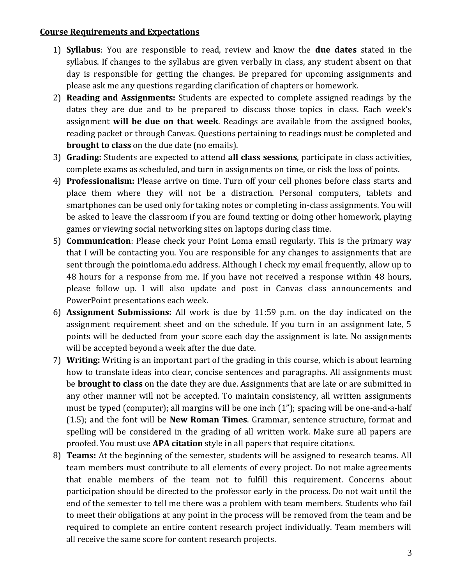#### **Course Requirements and Expectations**

- 1) **Syllabus**: You are responsible to read, review and know the **due dates** stated in the syllabus. If changes to the syllabus are given verbally in class, any student absent on that day is responsible for getting the changes. Be prepared for upcoming assignments and please ask me any questions regarding clarification of chapters or homework.
- 2) **Reading and Assignments:** Students are expected to complete assigned readings by the dates they are due and to be prepared to discuss those topics in class. Each week's assignment **will be due on that week**. Readings are available from the assigned books, reading packet or through Canvas. Questions pertaining to readings must be completed and **brought to class** on the due date (no emails).
- 3) **Grading:** Students are expected to attend **all class sessions**, participate in class activities, complete exams as scheduled, and turn in assignments on time, or risk the loss of points.
- 4) **Professionalism:** Please arrive on time. Turn off your cell phones before class starts and place them where they will not be a distraction. Personal computers, tablets and smartphones can be used only for taking notes or completing in-class assignments. You will be asked to leave the classroom if you are found texting or doing other homework, playing games or viewing social networking sites on laptops during class time.
- 5) **Communication**: Please check your Point Loma email regularly. This is the primary way that I will be contacting you. You are responsible for any changes to assignments that are sent through the pointloma.edu address. Although I check my email frequently, allow up to 48 hours for a response from me. If you have not received a response within 48 hours, please follow up. I will also update and post in Canvas class announcements and PowerPoint presentations each week.
- 6) **Assignment Submissions:** All work is due by 11:59 p.m. on the day indicated on the assignment requirement sheet and on the schedule. If you turn in an assignment late, 5 points will be deducted from your score each day the assignment is late. No assignments will be accepted beyond a week after the due date.
- 7) **Writing:** Writing is an important part of the grading in this course, which is about learning how to translate ideas into clear, concise sentences and paragraphs. All assignments must be **brought to class** on the date they are due. Assignments that are late or are submitted in any other manner will not be accepted. To maintain consistency, all written assignments must be typed (computer); all margins will be one inch (1"); spacing will be one-and-a-half (1.5); and the font will be **New Roman Times**. Grammar, sentence structure, format and spelling will be considered in the grading of all written work. Make sure all papers are proofed. You must use **APA citation** style in all papers that require citations.
- 8) **Teams:** At the beginning of the semester, students will be assigned to research teams. All team members must contribute to all elements of every project. Do not make agreements that enable members of the team not to fulfill this requirement. Concerns about participation should be directed to the professor early in the process. Do not wait until the end of the semester to tell me there was a problem with team members. Students who fail to meet their obligations at any point in the process will be removed from the team and be required to complete an entire content research project individually. Team members will all receive the same score for content research projects.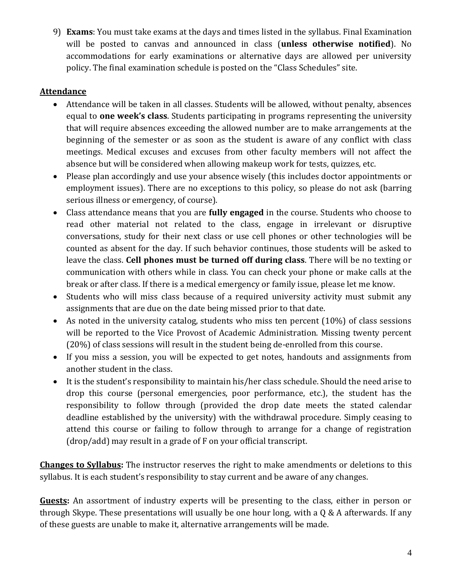9) **Exams**: You must take exams at the days and times listed in the syllabus. Final Examination will be posted to canvas and announced in class (**unless otherwise notified**). No accommodations for early examinations or alternative days are allowed per university policy. The final examination schedule is posted on the "Class Schedules" site.

#### **Attendance**

- Attendance will be taken in all classes. Students will be allowed, without penalty, absences equal to **one week's class**. Students participating in programs representing the university that will require absences exceeding the allowed number are to make arrangements at the beginning of the semester or as soon as the student is aware of any conflict with class meetings. Medical excuses and excuses from other faculty members will not affect the absence but will be considered when allowing makeup work for tests, quizzes, etc.
- Please plan accordingly and use your absence wisely (this includes doctor appointments or employment issues). There are no exceptions to this policy, so please do not ask (barring serious illness or emergency, of course).
- Class attendance means that you are **fully engaged** in the course. Students who choose to read other material not related to the class, engage in irrelevant or disruptive conversations, study for their next class or use cell phones or other technologies will be counted as absent for the day. If such behavior continues, those students will be asked to leave the class. **Cell phones must be turned off during class**. There will be no texting or communication with others while in class. You can check your phone or make calls at the break or after class. If there is a medical emergency or family issue, please let me know.
- Students who will miss class because of a required university activity must submit any assignments that are due on the date being missed prior to that date.
- As noted in the university catalog, students who miss ten percent (10%) of class sessions will be reported to the Vice Provost of Academic Administration. Missing twenty percent (20%) of class sessions will result in the student being de-enrolled from this course.
- If you miss a session, you will be expected to get notes, handouts and assignments from another student in the class.
- It is the student's responsibility to maintain his/her class schedule. Should the need arise to drop this course (personal emergencies, poor performance, etc.), the student has the responsibility to follow through (provided the drop date meets the stated calendar deadline established by the university) with the withdrawal procedure. Simply ceasing to attend this course or failing to follow through to arrange for a change of registration (drop/add) may result in a grade of F on your official transcript.

**Changes to Syllabus:** The instructor reserves the right to make amendments or deletions to this syllabus. It is each student's responsibility to stay current and be aware of any changes.

**Guests:** An assortment of industry experts will be presenting to the class, either in person or through Skype. These presentations will usually be one hour long, with a Q & A afterwards. If any of these guests are unable to make it, alternative arrangements will be made.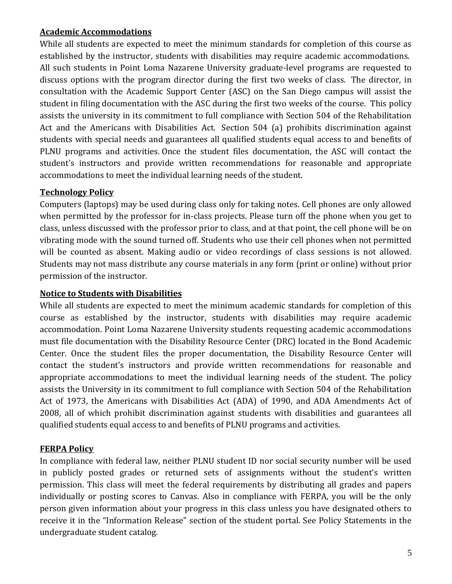#### **Academic Accommodations**

While all students are expected to meet the minimum standards for completion of this course as established by the instructor, students with disabilities may require academic accommodations. All such students in Point Loma Nazarene University graduate-level programs are requested to discuss options with the program director during the first two weeks of class. The director, in consultation with the Academic Support Center (ASC) on the San Diego campus will assist the student in filing documentation with the ASC during the first two weeks of the course. This policy assists the university in its commitment to full compliance with Section 504 of the Rehabilitation Act and the Americans with Disabilities Act. Section 504 (a) prohibits discrimination against students with special needs and guarantees all qualified students equal access to and benefits of PLNU programs and activities. Once the student files documentation, the ASC will contact the student's instructors and provide written recommendations for reasonable and appropriate accommodations to meet the individual learning needs of the student.

### **Technology Policy**

Computers (laptops) may be used during class only for taking notes. Cell phones are only allowed when permitted by the professor for in-class projects. Please turn off the phone when you get to class, unless discussed with the professor prior to class, and at that point, the cell phone will be on vibrating mode with the sound turned off. Students who use their cell phones when not permitted will be counted as absent. Making audio or video recordings of class sessions is not allowed. Students may not mass distribute any course materials in any form (print or online) without prior permission of the instructor.

#### **Notice to Students with Disabilities**

While all students are expected to meet the minimum academic standards for completion of this course as established by the instructor, students with disabilities may require academic accommodation. Point Loma Nazarene University students requesting academic accommodations must file documentation with the Disability Resource Center (DRC) located in the Bond Academic Center. Once the student files the proper documentation, the Disability Resource Center will contact the student's instructors and provide written recommendations for reasonable and appropriate accommodations to meet the individual learning needs of the student. The policy assists the University in its commitment to full compliance with Section 504 of the Rehabilitation Act of 1973, the Americans with Disabilities Act (ADA) of 1990, and ADA Amendments Act of 2008, all of which prohibit discrimination against students with disabilities and guarantees all qualified students equal access to and benefits of PLNU programs and activities.

#### **FERPA Policy**

In compliance with federal law, neither PLNU student ID nor social security number will be used in publicly posted grades or returned sets of assignments without the student's written permission. This class will meet the federal requirements by distributing all grades and papers individually or posting scores to Canvas. Also in compliance with FERPA, you will be the only person given information about your progress in this class unless you have designated others to receive it in the "Information Release" section of the student portal. See Policy Statements in the undergraduate student catalog.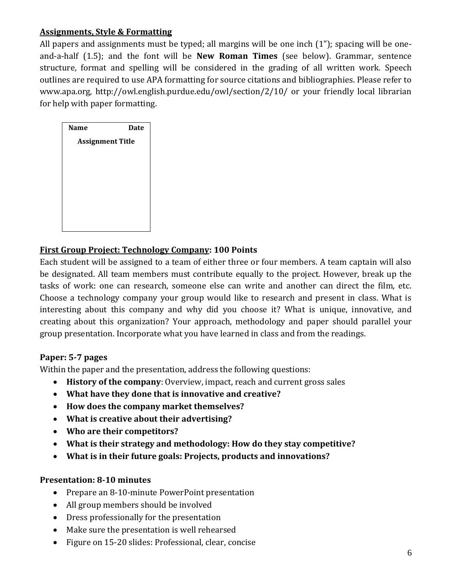#### **Assignments, Style & Formatting**

All papers and assignments must be typed; all margins will be one inch (1"); spacing will be oneand-a-half (1.5); and the font will be **New Roman Times** (see below). Grammar, sentence structure, format and spelling will be considered in the grading of all written work. Speech outlines are required to use APA formatting for source citations and bibliographies. Please refer to www.apa.org, http://owl.english.purdue.edu/owl/section/2/10/ or your friendly local librarian for help with paper formatting.

| <b>Name</b>             | <b>Date</b> |
|-------------------------|-------------|
| <b>Assignment Title</b> |             |
|                         |             |
|                         |             |
|                         |             |
|                         |             |
|                         |             |
|                         |             |

### **First Group Project: Technology Company: 100 Points**

Each student will be assigned to a team of either three or four members. A team captain will also be designated. All team members must contribute equally to the project. However, break up the tasks of work: one can research, someone else can write and another can direct the film, etc. Choose a technology company your group would like to research and present in class. What is interesting about this company and why did you choose it? What is unique, innovative, and creating about this organization? Your approach, methodology and paper should parallel your group presentation. Incorporate what you have learned in class and from the readings.

#### **Paper: 5-7 pages**

Within the paper and the presentation, address the following questions:

- **History of the company**: Overview, impact, reach and current gross sales
- **What have they done that is innovative and creative?**
- **How does the company market themselves?**
- **What is creative about their advertising?**
- **Who are their competitors?**
- **What is their strategy and methodology: How do they stay competitive?**
- **What is in their future goals: Projects, products and innovations?**

#### **Presentation: 8-10 minutes**

- Prepare an 8-10-minute PowerPoint presentation
- All group members should be involved
- Dress professionally for the presentation
- Make sure the presentation is well rehearsed
- Figure on 15-20 slides: Professional, clear, concise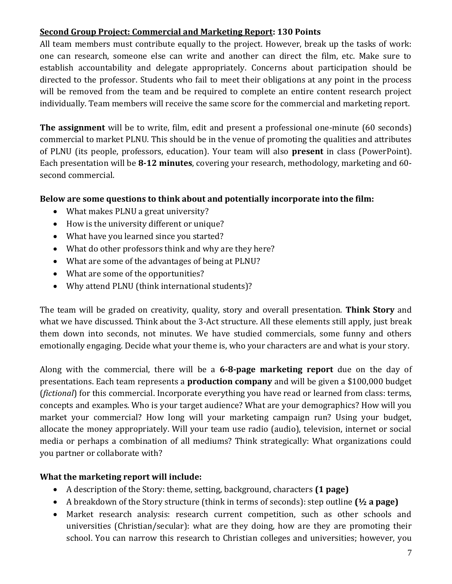## **Second Group Project: Commercial and Marketing Report: 130 Points**

All team members must contribute equally to the project. However, break up the tasks of work: one can research, someone else can write and another can direct the film, etc. Make sure to establish accountability and delegate appropriately. Concerns about participation should be directed to the professor. Students who fail to meet their obligations at any point in the process will be removed from the team and be required to complete an entire content research project individually. Team members will receive the same score for the commercial and marketing report.

**The assignment** will be to write, film, edit and present a professional one-minute (60 seconds) commercial to market PLNU. This should be in the venue of promoting the qualities and attributes of PLNU (its people, professors, education). Your team will also **present** in class (PowerPoint). Each presentation will be **8-12 minutes**, covering your research, methodology, marketing and 60 second commercial.

### **Below are some questions to think about and potentially incorporate into the film:**

- What makes PLNU a great university?
- How is the university different or unique?
- What have you learned since you started?
- What do other professors think and why are they here?
- What are some of the advantages of being at PLNU?
- What are some of the opportunities?
- Why attend PLNU (think international students)?

The team will be graded on creativity, quality, story and overall presentation. **Think Story** and what we have discussed. Think about the 3-Act structure. All these elements still apply, just break them down into seconds, not minutes. We have studied commercials, some funny and others emotionally engaging. Decide what your theme is, who your characters are and what is your story.

Along with the commercial, there will be a **6-8-page marketing report** due on the day of presentations. Each team represents a **production company** and will be given a \$100,000 budget (*fictional*) for this commercial. Incorporate everything you have read or learned from class: terms, concepts and examples. Who is your target audience? What are your demographics? How will you market your commercial? How long will your marketing campaign run? Using your budget, allocate the money appropriately. Will your team use radio (audio), television, internet or social media or perhaps a combination of all mediums? Think strategically: What organizations could you partner or collaborate with?

#### **What the marketing report will include:**

- A description of the Story: theme, setting, background, characters **(1 page)**
- A breakdown of the Story structure (think in terms of seconds): step outline **(½ a page)**
- Market research analysis: research current competition, such as other schools and universities (Christian/secular): what are they doing, how are they are promoting their school. You can narrow this research to Christian colleges and universities; however, you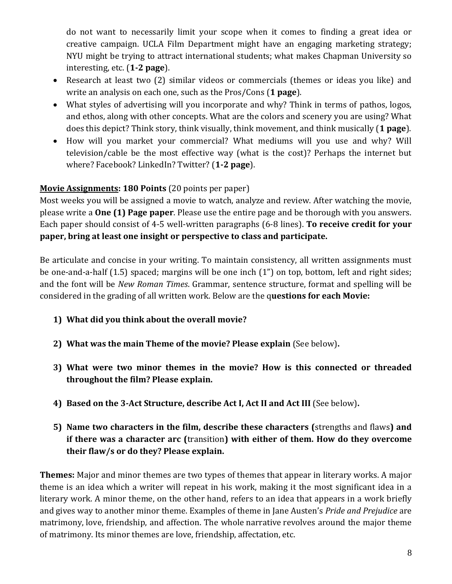do not want to necessarily limit your scope when it comes to finding a great idea or creative campaign. UCLA Film Department might have an engaging marketing strategy; NYU might be trying to attract international students; what makes Chapman University so interesting, etc. (**1-2 page**).

- Research at least two (2) similar videos or commercials (themes or ideas you like) and write an analysis on each one, such as the Pros/Cons (**1 page**).
- What styles of advertising will you incorporate and why? Think in terms of pathos, logos, and ethos, along with other concepts. What are the colors and scenery you are using? What does this depict? Think story, think visually, think movement, and think musically (**1 page**).
- How will you market your commercial? What mediums will you use and why? Will television/cable be the most effective way (what is the cost)? Perhaps the internet but where? Facebook? LinkedIn? Twitter? (**1-2 page**).

## **Movie Assignments: 180 Points** (20 points per paper)

Most weeks you will be assigned a movie to watch, analyze and review. After watching the movie, please write a **One (1) Page paper**. Please use the entire page and be thorough with you answers. Each paper should consist of 4-5 well-written paragraphs (6-8 lines). **To receive credit for your paper, bring at least one insight or perspective to class and participate.**

Be articulate and concise in your writing. To maintain consistency, all written assignments must be one-and-a-half (1.5) spaced; margins will be one inch (1") on top, bottom, left and right sides; and the font will be *New Roman Times*. Grammar, sentence structure, format and spelling will be considered in the grading of all written work. Below are the q**uestions for each Movie:**

- **1) What did you think about the overall movie?**
- **2) What was the main Theme of the movie? Please explain** (See below)**.**
- **3) What were two minor themes in the movie? How is this connected or threaded throughout the film? Please explain.**
- **4) Based on the 3-Act Structure, describe Act I, Act II and Act III** (See below)**.**
- **5) Name two characters in the film, describe these characters (**strengths and flaws**) and if there was a character arc (**transition**) with either of them. How do they overcome their flaw/s or do they? Please explain.**

**Themes:** Major and minor themes are two types of themes that appear in literary works. A major theme is an idea which a writer will repeat in his work, making it the most significant idea in a literary work. A minor theme, on the other hand, refers to an idea that appears in a work briefly and gives way to another minor theme. Examples of theme in Jane Austen's *Pride and Prejudice* are matrimony, [love,](http://literarydevices.net/love/) friendship, and affection. The whole [narrative](http://literarydevices.net/narrative/) revolves around the major theme of matrimony. Its minor themes are love, friendship, affectation, etc.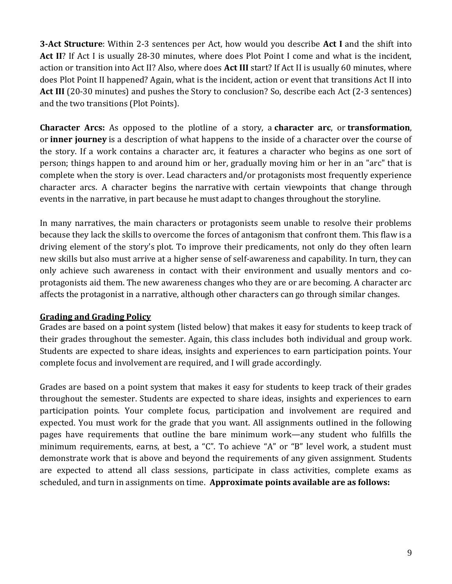**3-Act Structure**: Within 2-3 sentences per Act, how would you describe **Act I** and the shift into **Act II**? If Act I is usually 28-30 minutes, where does Plot Point I come and what is the incident, action or transition into Act II? Also, where does **Act III** start? If Act II is usually 60 minutes, where does Plot Point II happened? Again, what is the incident, action or event that transitions Act II into Act III (20-30 minutes) and pushes the Story to conclusion? So, describe each Act (2-3 sentences) and the two transitions (Plot Points).

**Character Arcs:** As opposed to the plotline of a story, a **character arc**, or **transformation**, or **inner journey** is a description of what happens to the inside of a character over the course of the story. If a work contains a character arc, it features a character who begins as one sort of person; things happen to and around him or her, gradually moving him or her in an "arc" that is complete when the story is over. Lead characters and/or protagonists most frequently experience character arcs. A character begins the narrative with certain viewpoints that change through events in the narrative, in part because he must adapt to changes throughout the storyline.

In many narratives, the main characters or protagonists seem unable to resolve their problems because they lack the skills to overcome the forces of antagonism that confront them. This flaw is a driving element of the story's plot. To improve their predicaments, not only do they often learn new skills but also must arrive at a higher sense of self-awareness and capability. In turn, they can only achieve such awareness in contact with their environment and usually mentors and coprotagonists aid them. The new awareness changes who they are or are becoming. A character arc affects the protagonist in a narrative, although other characters can go through similar changes.

#### **Grading and Grading Policy**

Grades are based on a point system (listed below) that makes it easy for students to keep track of their grades throughout the semester. Again, this class includes both individual and group work. Students are expected to share ideas, insights and experiences to earn participation points. Your complete focus and involvement are required, and I will grade accordingly.

Grades are based on a point system that makes it easy for students to keep track of their grades throughout the semester. Students are expected to share ideas, insights and experiences to earn participation points. Your complete focus, participation and involvement are required and expected. You must work for the grade that you want. All assignments outlined in the following pages have requirements that outline the bare minimum work—any student who fulfills the minimum requirements, earns, at best, a "C". To achieve "A" or "B" level work, a student must demonstrate work that is above and beyond the requirements of any given assignment. Students are expected to attend all class sessions, participate in class activities, complete exams as scheduled, and turn in assignments on time. **Approximate points available are as follows:**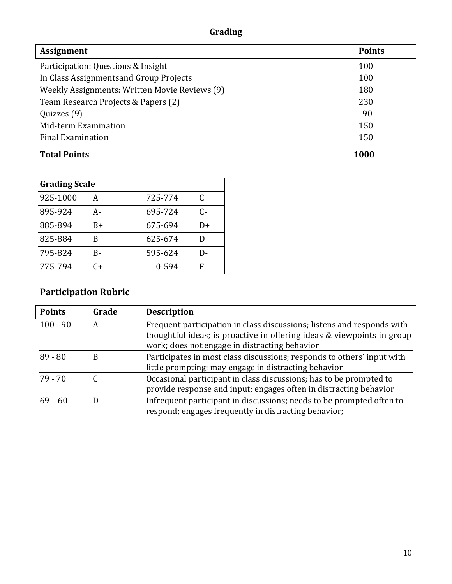# **Grading**

| <b>Assignment</b>                             | <b>Points</b> |
|-----------------------------------------------|---------------|
| Participation: Questions & Insight            | 100           |
| In Class Assignments and Group Projects       | 100           |
| Weekly Assignments: Written Movie Reviews (9) | 180           |
| Team Research Projects & Papers (2)           | 230           |
| Quizzes (9)                                   | 90            |
| Mid-term Examination                          | 150           |
| <b>Final Examination</b>                      | 150           |
| <b>Total Points</b>                           | 1000          |

| <b>Grading Scale</b> |    |         |    |
|----------------------|----|---------|----|
| 925-1000             | A  | 725-774 | C  |
| 895-924              | А- | 695-724 | C- |
| 885-894              | R+ | 675-694 | D+ |
| 825-884              | B  | 625-674 |    |
| 795-824              | B- | 595-624 | D- |
| 775-794              | C+ | 0-594   | F  |

# **Participation Rubric**

| <b>Points</b> | Grade | <b>Description</b>                                                                                                                                                                                |
|---------------|-------|---------------------------------------------------------------------------------------------------------------------------------------------------------------------------------------------------|
| $100 - 90$    | А     | Frequent participation in class discussions; listens and responds with<br>thoughtful ideas; is proactive in offering ideas & viewpoints in group<br>work; does not engage in distracting behavior |
| $89 - 80$     |       | Participates in most class discussions; responds to others' input with<br>little prompting; may engage in distracting behavior                                                                    |
| $79 - 70$     |       | Occasional participant in class discussions; has to be prompted to<br>provide response and input; engages often in distracting behavior                                                           |
| $69 - 60$     |       | Infrequent participant in discussions; needs to be prompted often to<br>respond; engages frequently in distracting behavior;                                                                      |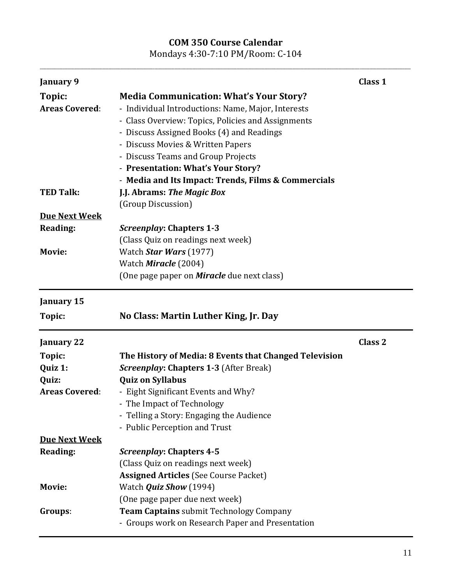# **COM 350 Course Calendar**

Mondays 4:30-7:10 PM/Room: C-104 **\_\_\_\_\_\_\_\_\_\_\_\_\_\_\_\_\_\_\_\_\_\_\_\_\_\_\_\_\_\_\_\_\_\_\_\_\_\_\_\_\_\_\_\_\_\_\_\_\_\_\_\_\_\_\_\_\_\_\_\_\_\_\_\_\_\_\_\_\_\_\_\_\_\_\_\_\_\_\_\_\_\_\_\_\_\_\_\_\_\_\_\_\_\_\_\_\_\_\_\_\_\_\_\_\_\_\_\_\_\_\_\_\_\_\_\_\_\_\_\_\_\_\_\_\_\_\_\_\_\_\_\_\_\_\_\_\_\_\_\_\_\_\_\_\_\_\_\_\_\_\_\_\_\_\_\_\_\_\_\_\_\_\_\_\_\_\_\_\_\_\_\_\_\_\_\_\_\_\_\_\_\_\_\_\_\_\_\_\_\_\_\_\_\_\_\_\_\_\_\_\_\_\_\_\_\_\_\_\_\_\_\_\_\_\_\_\_\_\_\_\_\_\_\_\_\_**

| January 9             |                                                        | Class 1            |
|-----------------------|--------------------------------------------------------|--------------------|
| Topic:                | <b>Media Communication: What's Your Story?</b>         |                    |
| <b>Areas Covered:</b> | - Individual Introductions: Name, Major, Interests     |                    |
|                       | - Class Overview: Topics, Policies and Assignments     |                    |
|                       | - Discuss Assigned Books (4) and Readings              |                    |
|                       | - Discuss Movies & Written Papers                      |                    |
|                       | - Discuss Teams and Group Projects                     |                    |
|                       | - Presentation: What's Your Story?                     |                    |
|                       | - Media and Its Impact: Trends, Films & Commercials    |                    |
| <b>TED Talk:</b>      | J.J. Abrams: The Magic Box                             |                    |
|                       | (Group Discussion)                                     |                    |
| <b>Due Next Week</b>  |                                                        |                    |
| <b>Reading:</b>       | <b>Screenplay: Chapters 1-3</b>                        |                    |
|                       | (Class Quiz on readings next week)                     |                    |
| Movie:                | Watch Star Wars (1977)                                 |                    |
|                       | Watch Miracle (2004)                                   |                    |
|                       | (One page paper on <b>Miracle</b> due next class)      |                    |
| January 15            |                                                        |                    |
| Topic:                | No Class: Martin Luther King, Jr. Day                  |                    |
| <b>January 22</b>     |                                                        | Class <sub>2</sub> |
| Topic:                | The History of Media: 8 Events that Changed Television |                    |
| Quiz 1:               | <b>Screenplay: Chapters 1-3 (After Break)</b>          |                    |
| Quiz:                 | <b>Quiz on Syllabus</b>                                |                    |
| <b>Areas Covered:</b> | - Eight Significant Events and Why?                    |                    |
|                       | - The Impact of Technology                             |                    |
|                       | - Telling a Story: Engaging the Audience               |                    |
|                       | - Public Perception and Trust                          |                    |
| <b>Due Next Week</b>  |                                                        |                    |
| Reading:              | Screenplay: Chapters 4-5                               |                    |
|                       | (Class Quiz on readings next week)                     |                    |
|                       | <b>Assigned Articles (See Course Packet)</b>           |                    |
| <b>Movie:</b>         | Watch <i>Quiz Show</i> (1994)                          |                    |
|                       | (One page paper due next week)                         |                    |
| Groups:               | Team Captains submit Technology Company                |                    |
|                       | - Groups work on Research Paper and Presentation       |                    |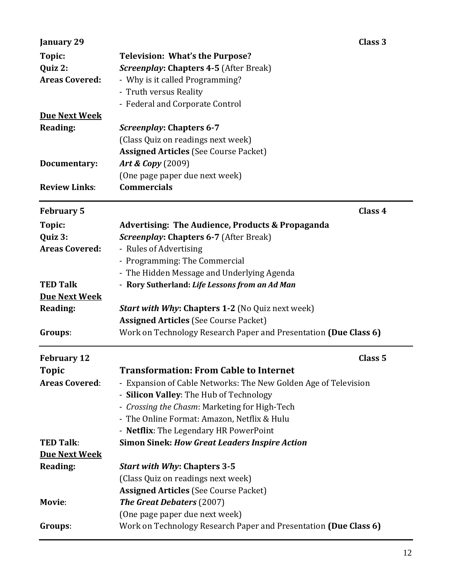| January 29            | Class 3                                                          |
|-----------------------|------------------------------------------------------------------|
| Topic:                | <b>Television: What's the Purpose?</b>                           |
| Quiz 2:               | <b>Screenplay: Chapters 4-5 (After Break)</b>                    |
| <b>Areas Covered:</b> | - Why is it called Programming?                                  |
|                       | - Truth versus Reality                                           |
|                       | - Federal and Corporate Control                                  |
| <b>Due Next Week</b>  |                                                                  |
| <b>Reading:</b>       | <b>Screenplay: Chapters 6-7</b>                                  |
|                       | (Class Quiz on readings next week)                               |
|                       | <b>Assigned Articles (See Course Packet)</b>                     |
| Documentary:          | <b>Art &amp; Copy</b> (2009)                                     |
|                       | (One page paper due next week)                                   |
| <b>Review Links:</b>  | <b>Commercials</b>                                               |
| <b>February 5</b>     | Class 4                                                          |
| Topic:                | <b>Advertising: The Audience, Products &amp; Propaganda</b>      |
| Quiz 3:               | <b>Screenplay: Chapters 6-7 (After Break)</b>                    |
| <b>Areas Covered:</b> | - Rules of Advertising                                           |
|                       | - Programming: The Commercial                                    |
|                       | - The Hidden Message and Underlying Agenda                       |
| <b>TED Talk</b>       | - Rory Sutherland: Life Lessons from an Ad Man                   |
| <b>Due Next Week</b>  |                                                                  |
| Reading:              | <b>Start with Why: Chapters 1-2</b> (No Quiz next week)          |
|                       | <b>Assigned Articles (See Course Packet)</b>                     |
| Groups:               | Work on Technology Research Paper and Presentation (Due Class 6) |
| <b>February 12</b>    | Class <sub>5</sub>                                               |
| <b>Topic</b>          | Transformation: From Cable to Internet                           |
| <b>Areas Covered:</b> | - Expansion of Cable Networks: The New Golden Age of Television  |
|                       | - Silicon Valley: The Hub of Technology                          |
|                       | - Crossing the Chasm: Marketing for High-Tech                    |
|                       | - The Online Format: Amazon, Netflix & Hulu                      |
|                       | - Netflix: The Legendary HR PowerPoint                           |
| <b>TED Talk:</b>      | <b>Simon Sinek: How Great Leaders Inspire Action</b>             |
| <b>Due Next Week</b>  |                                                                  |
| Reading:              | <b>Start with Why: Chapters 3-5</b>                              |
|                       | (Class Quiz on readings next week)                               |
|                       | <b>Assigned Articles (See Course Packet)</b>                     |
| Movie:                | The Great Debaters (2007)                                        |
|                       | (One page paper due next week)                                   |
| Groups:               | Work on Technology Research Paper and Presentation (Due Class 6) |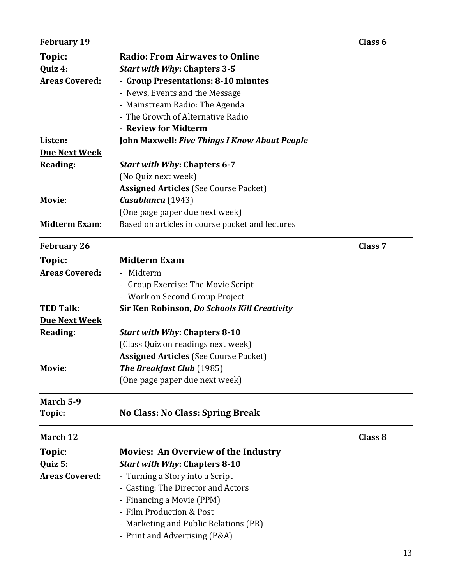| <b>February 19</b>    |                                                      | Class <sub>6</sub> |
|-----------------------|------------------------------------------------------|--------------------|
| Topic:                | <b>Radio: From Airwaves to Online</b>                |                    |
| Quiz 4:               | <b>Start with Why: Chapters 3-5</b>                  |                    |
| <b>Areas Covered:</b> | - Group Presentations: 8-10 minutes                  |                    |
|                       | - News, Events and the Message                       |                    |
|                       | - Mainstream Radio: The Agenda                       |                    |
|                       | - The Growth of Alternative Radio                    |                    |
|                       | - Review for Midterm                                 |                    |
| Listen:               | <b>John Maxwell: Five Things I Know About People</b> |                    |
| <b>Due Next Week</b>  |                                                      |                    |
| Reading:              | <b>Start with Why: Chapters 6-7</b>                  |                    |
|                       | (No Quiz next week)                                  |                    |
|                       | <b>Assigned Articles (See Course Packet)</b>         |                    |
| Movie:                |                                                      |                    |
|                       | Casablanca (1943)                                    |                    |
|                       | (One page paper due next week)                       |                    |
| <b>Midterm Exam:</b>  | Based on articles in course packet and lectures      |                    |
| <b>February 26</b>    |                                                      | Class <sub>7</sub> |
| Topic:                | <b>Midterm Exam</b>                                  |                    |
| <b>Areas Covered:</b> | - Midterm                                            |                    |
|                       |                                                      |                    |
|                       | Group Exercise: The Movie Script<br>۰                |                    |
|                       | - Work on Second Group Project                       |                    |
| <b>TED Talk:</b>      | Sir Ken Robinson, Do Schools Kill Creativity         |                    |
| <b>Due Next Week</b>  |                                                      |                    |
| <b>Reading:</b>       | <b>Start with Why: Chapters 8-10</b>                 |                    |
|                       | (Class Quiz on readings next week)                   |                    |
|                       | <b>Assigned Articles (See Course Packet)</b>         |                    |
| Movie:                | The Breakfast Club (1985)                            |                    |
|                       | (One page paper due next week)                       |                    |
| March 5-9             |                                                      |                    |
| Topic:                | No Class: No Class: Spring Break                     |                    |
| March 12              |                                                      | Class 8            |
| Topic:                | <b>Movies: An Overview of the Industry</b>           |                    |
|                       |                                                      |                    |
| Quiz 5:               | <b>Start with Why: Chapters 8-10</b>                 |                    |
| <b>Areas Covered:</b> | - Turning a Story into a Script                      |                    |
|                       | - Casting: The Director and Actors                   |                    |
|                       | - Financing a Movie (PPM)                            |                    |
|                       | - Film Production & Post                             |                    |
|                       | - Marketing and Public Relations (PR)                |                    |
|                       | - Print and Advertising (P&A)                        |                    |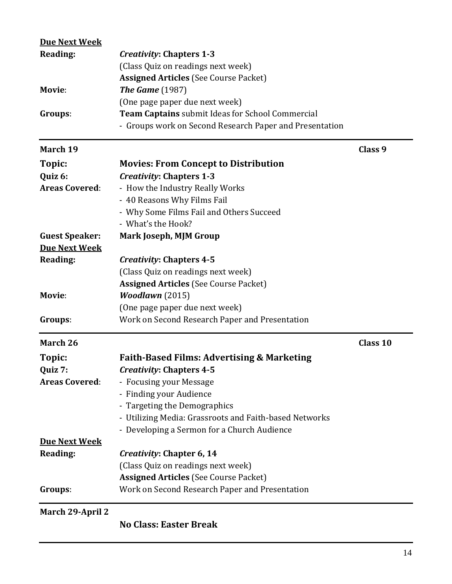| <b>Due Next Week</b>  |                                                         |          |
|-----------------------|---------------------------------------------------------|----------|
| Reading:              | <b>Creativity: Chapters 1-3</b>                         |          |
|                       | (Class Quiz on readings next week)                      |          |
|                       | <b>Assigned Articles (See Course Packet)</b>            |          |
| Movie:                | <b>The Game</b> (1987)                                  |          |
|                       | (One page paper due next week)                          |          |
| Groups:               | Team Captains submit Ideas for School Commercial        |          |
|                       | - Groups work on Second Research Paper and Presentation |          |
| March 19              |                                                         | Class 9  |
| Topic:                | <b>Movies: From Concept to Distribution</b>             |          |
| Quiz 6:               | <b>Creativity: Chapters 1-3</b>                         |          |
| <b>Areas Covered:</b> | - How the Industry Really Works                         |          |
|                       | - 40 Reasons Why Films Fail                             |          |
|                       | - Why Some Films Fail and Others Succeed                |          |
|                       | - What's the Hook?                                      |          |
| <b>Guest Speaker:</b> | Mark Joseph, MJM Group                                  |          |
| <b>Due Next Week</b>  |                                                         |          |
| Reading:              | <b>Creativity: Chapters 4-5</b>                         |          |
|                       | (Class Quiz on readings next week)                      |          |
|                       | <b>Assigned Articles (See Course Packet)</b>            |          |
| Movie:                | <b>Woodlawn</b> (2015)                                  |          |
|                       | (One page paper due next week)                          |          |
| Groups:               | Work on Second Research Paper and Presentation          |          |
| March 26              |                                                         | Class 10 |
| Topic:                | <b>Faith-Based Films: Advertising &amp; Marketing</b>   |          |
| Quiz 7:               | <b>Creativity: Chapters 4-5</b>                         |          |
| <b>Areas Covered:</b> | - Focusing your Message                                 |          |
|                       | - Finding your Audience                                 |          |
|                       | - Targeting the Demographics                            |          |
|                       | - Utilizing Media: Grassroots and Faith-based Networks  |          |
|                       | - Developing a Sermon for a Church Audience             |          |
| <b>Due Next Week</b>  |                                                         |          |
| Reading:              | Creativity: Chapter 6, 14                               |          |
|                       | (Class Quiz on readings next week)                      |          |
|                       | <b>Assigned Articles (See Course Packet)</b>            |          |
| Groups:               | Work on Second Research Paper and Presentation          |          |
| March 29-April 2      |                                                         |          |

**No Class: Easter Break**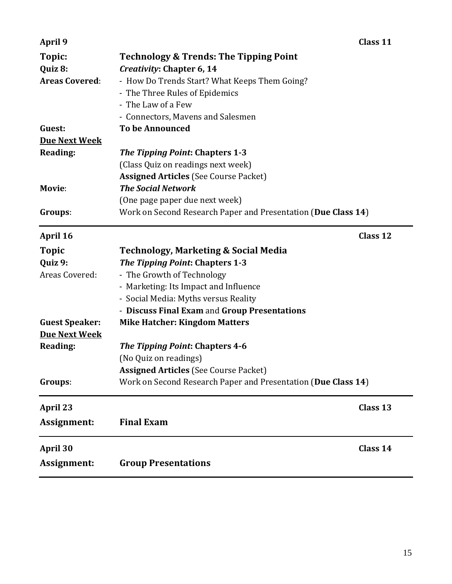| Assignment:                      | <b>Group Presentations</b>                                                 |  |
|----------------------------------|----------------------------------------------------------------------------|--|
| April 30                         | Class 14                                                                   |  |
| Assignment:                      | <b>Final Exam</b>                                                          |  |
| <b>April 23</b>                  | Class 13                                                                   |  |
| Groups:                          | Work on Second Research Paper and Presentation (Due Class 14)              |  |
|                                  | <b>Assigned Articles (See Course Packet)</b>                               |  |
|                                  | (No Quiz on readings)                                                      |  |
| Reading:                         | The Tipping Point: Chapters 4-6                                            |  |
| <b>Due Next Week</b>             |                                                                            |  |
| <b>Guest Speaker:</b>            | <b>Mike Hatcher: Kingdom Matters</b>                                       |  |
|                                  | - Discuss Final Exam and Group Presentations                               |  |
|                                  | - Social Media: Myths versus Reality                                       |  |
|                                  | - Marketing: Its Impact and Influence                                      |  |
| Areas Covered:                   | - The Growth of Technology                                                 |  |
| Quiz 9:                          | The Tipping Point: Chapters 1-3                                            |  |
| <b>Topic</b>                     | <b>Technology, Marketing &amp; Social Media</b>                            |  |
| April 16                         | Class 12                                                                   |  |
| Groups:                          | Work on Second Research Paper and Presentation (Due Class 14)              |  |
|                                  | (One page paper due next week)                                             |  |
| Movie:                           | <b>The Social Network</b>                                                  |  |
|                                  | <b>Assigned Articles (See Course Packet)</b>                               |  |
|                                  | (Class Quiz on readings next week)                                         |  |
| <b>Reading:</b>                  | <b>The Tipping Point: Chapters 1-3</b>                                     |  |
| <b>Due Next Week</b>             |                                                                            |  |
| Guest:                           | <b>To be Announced</b>                                                     |  |
|                                  | - Connectors, Mavens and Salesmen                                          |  |
|                                  | - The Law of a Few                                                         |  |
|                                  | - The Three Rules of Epidemics                                             |  |
| Quiz 8:<br><b>Areas Covered:</b> | Creativity: Chapter 6, 14<br>- How Do Trends Start? What Keeps Them Going? |  |
| Topic:                           | <b>Technology &amp; Trends: The Tipping Point</b>                          |  |
| April 9                          | Class 11                                                                   |  |
|                                  |                                                                            |  |